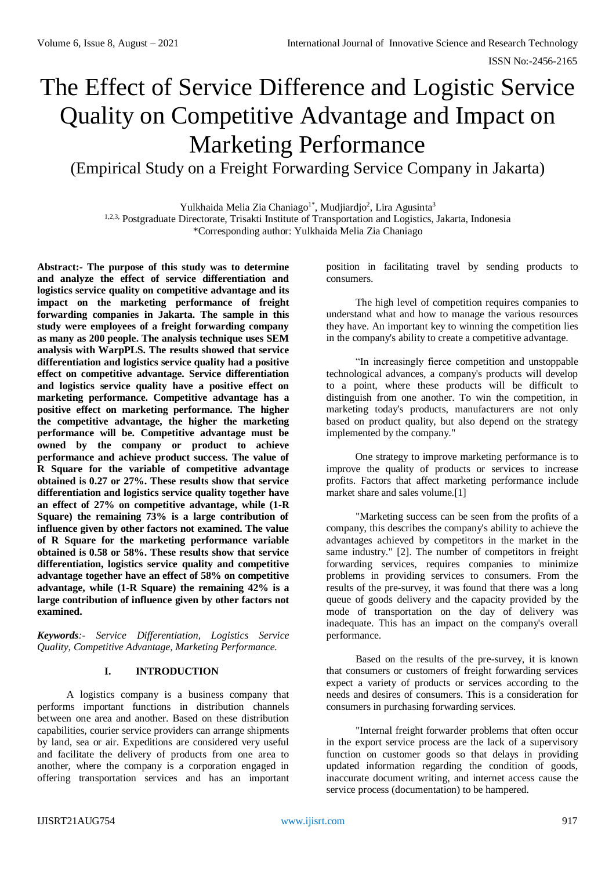# The Effect of Service Difference and Logistic Service Quality on Competitive Advantage and Impact on Marketing Performance

(Empirical Study on a Freight Forwarding Service Company in Jakarta)

Yulkhaida Melia Zia Chaniago<sup>1\*</sup>, Mudjiardjo<sup>2</sup>, Lira Agusinta<sup>3</sup> 1,2,3, Postgraduate Directorate, Trisakti Institute of Transportation and Logistics, Jakarta, Indonesia \*Corresponding author: Yulkhaida Melia Zia Chaniago

**Abstract:- The purpose of this study was to determine and analyze the effect of service differentiation and logistics service quality on competitive advantage and its impact on the marketing performance of freight forwarding companies in Jakarta. The sample in this study were employees of a freight forwarding company as many as 200 people. The analysis technique uses SEM analysis with WarpPLS. The results showed that service differentiation and logistics service quality had a positive effect on competitive advantage. Service differentiation and logistics service quality have a positive effect on marketing performance. Competitive advantage has a positive effect on marketing performance. The higher the competitive advantage, the higher the marketing performance will be. Competitive advantage must be owned by the company or product to achieve performance and achieve product success. The value of R Square for the variable of competitive advantage obtained is 0.27 or 27%. These results show that service differentiation and logistics service quality together have an effect of 27% on competitive advantage, while (1-R Square) the remaining 73% is a large contribution of influence given by other factors not examined. The value of R Square for the marketing performance variable obtained is 0.58 or 58%. These results show that service differentiation, logistics service quality and competitive advantage together have an effect of 58% on competitive advantage, while (1-R Square) the remaining 42% is a large contribution of influence given by other factors not examined.**

*Keywords:- Service Differentiation, Logistics Service Quality, Competitive Advantage, Marketing Performance.*

# **I. INTRODUCTION**

A logistics company is a business company that performs important functions in distribution channels between one area and another. Based on these distribution capabilities, courier service providers can arrange shipments by land, sea or air. Expeditions are considered very useful and facilitate the delivery of products from one area to another, where the company is a corporation engaged in offering transportation services and has an important

position in facilitating travel by sending products to consumers.

The high level of competition requires companies to understand what and how to manage the various resources they have. An important key to winning the competition lies in the company's ability to create a competitive advantage.

"In increasingly fierce competition and unstoppable technological advances, a company's products will develop to a point, where these products will be difficult to distinguish from one another. To win the competition, in marketing today's products, manufacturers are not only based on product quality, but also depend on the strategy implemented by the company."

One strategy to improve marketing performance is to improve the quality of products or services to increase profits. Factors that affect marketing performance include market share and sales volume.[1]

"Marketing success can be seen from the profits of a company, this describes the company's ability to achieve the advantages achieved by competitors in the market in the same industry." [2]. The number of competitors in freight forwarding services, requires companies to minimize problems in providing services to consumers. From the results of the pre-survey, it was found that there was a long queue of goods delivery and the capacity provided by the mode of transportation on the day of delivery was inadequate. This has an impact on the company's overall performance.

Based on the results of the pre-survey, it is known that consumers or customers of freight forwarding services expect a variety of products or services according to the needs and desires of consumers. This is a consideration for consumers in purchasing forwarding services.

"Internal freight forwarder problems that often occur in the export service process are the lack of a supervisory function on customer goods so that delays in providing updated information regarding the condition of goods, inaccurate document writing, and internet access cause the service process (documentation) to be hampered.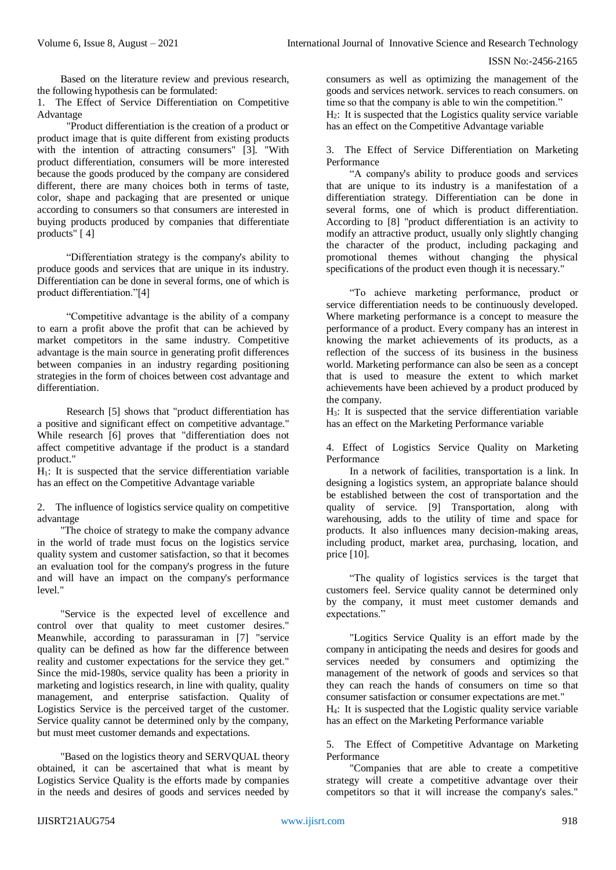Based on the literature review and previous research, the following hypothesis can be formulated:

1. The Effect of Service Differentiation on Competitive Advantage

"Product differentiation is the creation of a product or product image that is quite different from existing products with the intention of attracting consumers" [3]. "With product differentiation, consumers will be more interested because the goods produced by the company are considered different, there are many choices both in terms of taste, color, shape and packaging that are presented or unique according to consumers so that consumers are interested in buying products produced by companies that differentiate products" [ 4]

"Differentiation strategy is the company's ability to produce goods and services that are unique in its industry. Differentiation can be done in several forms, one of which is product differentiation."[4]

"Competitive advantage is the ability of a company to earn a profit above the profit that can be achieved by market competitors in the same industry. Competitive advantage is the main source in generating profit differences between companies in an industry regarding positioning strategies in the form of choices between cost advantage and differentiation.

Research [5] shows that "product differentiation has a positive and significant effect on competitive advantage." While research [6] proves that "differentiation does not affect competitive advantage if the product is a standard product."

 $H<sub>1</sub>$ : It is suspected that the service differentiation variable has an effect on the Competitive Advantage variable

2. The influence of logistics service quality on competitive advantage

"The choice of strategy to make the company advance in the world of trade must focus on the logistics service quality system and customer satisfaction, so that it becomes an evaluation tool for the company's progress in the future and will have an impact on the company's performance level."

"Service is the expected level of excellence and control over that quality to meet customer desires." Meanwhile, according to parassuraman in [7] "service quality can be defined as how far the difference between reality and customer expectations for the service they get." Since the mid-1980s, service quality has been a priority in marketing and logistics research, in line with quality, quality management, and enterprise satisfaction. Quality of Logistics Service is the perceived target of the customer. Service quality cannot be determined only by the company, but must meet customer demands and expectations.

"Based on the logistics theory and SERVQUAL theory obtained, it can be ascertained that what is meant by Logistics Service Quality is the efforts made by companies in the needs and desires of goods and services needed by consumers as well as optimizing the management of the goods and services network. services to reach consumers. on time so that the company is able to win the competition."

H2: It is suspected that the Logistics quality service variable has an effect on the Competitive Advantage variable

3. The Effect of Service Differentiation on Marketing Performance

"A company's ability to produce goods and services that are unique to its industry is a manifestation of a differentiation strategy. Differentiation can be done in several forms, one of which is product differentiation. According to [8] "product differentiation is an activity to modify an attractive product, usually only slightly changing the character of the product, including packaging and promotional themes without changing the physical specifications of the product even though it is necessary."

"To achieve marketing performance, product or service differentiation needs to be continuously developed. Where marketing performance is a concept to measure the performance of a product. Every company has an interest in knowing the market achievements of its products, as a reflection of the success of its business in the business world. Marketing performance can also be seen as a concept that is used to measure the extent to which market achievements have been achieved by a product produced by the company.

H3: It is suspected that the service differentiation variable has an effect on the Marketing Performance variable

4. Effect of Logistics Service Quality on Marketing Performance

In a network of facilities, transportation is a link. In designing a logistics system, an appropriate balance should be established between the cost of transportation and the quality of service. [9] Transportation, along with warehousing, adds to the utility of time and space for products. It also influences many decision-making areas, including product, market area, purchasing, location, and price [10].

"The quality of logistics services is the target that customers feel. Service quality cannot be determined only by the company, it must meet customer demands and expectations."

"Logitics Service Quality is an effort made by the company in anticipating the needs and desires for goods and services needed by consumers and optimizing the management of the network of goods and services so that they can reach the hands of consumers on time so that consumer satisfaction or consumer expectations are met."

H4: It is suspected that the Logistic quality service variable has an effect on the Marketing Performance variable

5. The Effect of Competitive Advantage on Marketing Performance

"Companies that are able to create a competitive strategy will create a competitive advantage over their competitors so that it will increase the company's sales."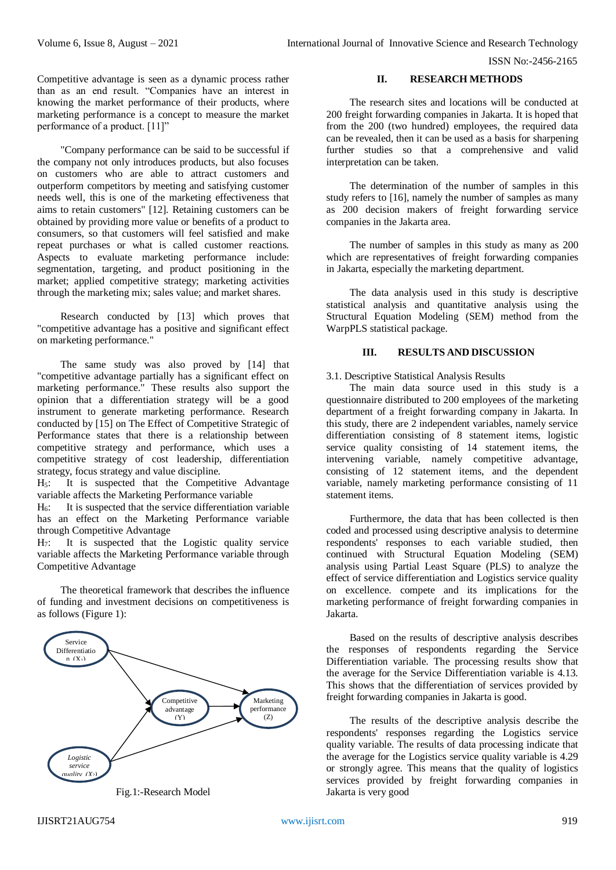Competitive advantage is seen as a dynamic process rather than as an end result. "Companies have an interest in knowing the market performance of their products, where marketing performance is a concept to measure the market performance of a product. [11]"

"Company performance can be said to be successful if the company not only introduces products, but also focuses on customers who are able to attract customers and outperform competitors by meeting and satisfying customer needs well, this is one of the marketing effectiveness that aims to retain customers" [12]. Retaining customers can be obtained by providing more value or benefits of a product to consumers, so that customers will feel satisfied and make repeat purchases or what is called customer reactions. Aspects to evaluate marketing performance include: segmentation, targeting, and product positioning in the market; applied competitive strategy; marketing activities through the marketing mix; sales value; and market shares.

Research conducted by [13] which proves that "competitive advantage has a positive and significant effect on marketing performance."

The same study was also proved by [14] that "competitive advantage partially has a significant effect on marketing performance." These results also support the opinion that a differentiation strategy will be a good instrument to generate marketing performance. Research conducted by [15] on The Effect of Competitive Strategic of Performance states that there is a relationship between competitive strategy and performance, which uses a competitive strategy of cost leadership, differentiation strategy, focus strategy and value discipline.

 $H<sub>5</sub>$ : It is suspected that the Competitive Advantage variable affects the Marketing Performance variable

 $H<sub>6</sub>$ : It is suspected that the service differentiation variable has an effect on the Marketing Performance variable through Competitive Advantage

H7: It is suspected that the Logistic quality service variable affects the Marketing Performance variable through Competitive Advantage

The theoretical framework that describes the influence of funding and investment decisions on competitiveness is as follows (Figure 1):





# **II. RESEARCH METHODS**

The research sites and locations will be conducted at 200 freight forwarding companies in Jakarta. It is hoped that from the 200 (two hundred) employees, the required data can be revealed, then it can be used as a basis for sharpening further studies so that a comprehensive and valid interpretation can be taken.

The determination of the number of samples in this study refers to [16], namely the number of samples as many as 200 decision makers of freight forwarding service companies in the Jakarta area.

The number of samples in this study as many as 200 which are representatives of freight forwarding companies in Jakarta, especially the marketing department.

The data analysis used in this study is descriptive statistical analysis and quantitative analysis using the Structural Equation Modeling (SEM) method from the WarpPLS statistical package.

# **III. RESULTS AND DISCUSSION**

# 3.1. Descriptive Statistical Analysis Results

The main data source used in this study is a questionnaire distributed to 200 employees of the marketing department of a freight forwarding company in Jakarta. In this study, there are 2 independent variables, namely service differentiation consisting of 8 statement items, logistic service quality consisting of 14 statement items, the intervening variable, namely competitive advantage, consisting of 12 statement items, and the dependent variable, namely marketing performance consisting of 11 statement items.

Furthermore, the data that has been collected is then coded and processed using descriptive analysis to determine respondents' responses to each variable studied, then continued with Structural Equation Modeling (SEM) analysis using Partial Least Square (PLS) to analyze the effect of service differentiation and Logistics service quality on excellence. compete and its implications for the marketing performance of freight forwarding companies in Jakarta.

Based on the results of descriptive analysis describes the responses of respondents regarding the Service Differentiation variable. The processing results show that the average for the Service Differentiation variable is 4.13. This shows that the differentiation of services provided by freight forwarding companies in Jakarta is good.

The results of the descriptive analysis describe the respondents' responses regarding the Logistics service quality variable. The results of data processing indicate that the average for the Logistics service quality variable is 4.29 or strongly agree. This means that the quality of logistics services provided by freight forwarding companies in Jakarta is very good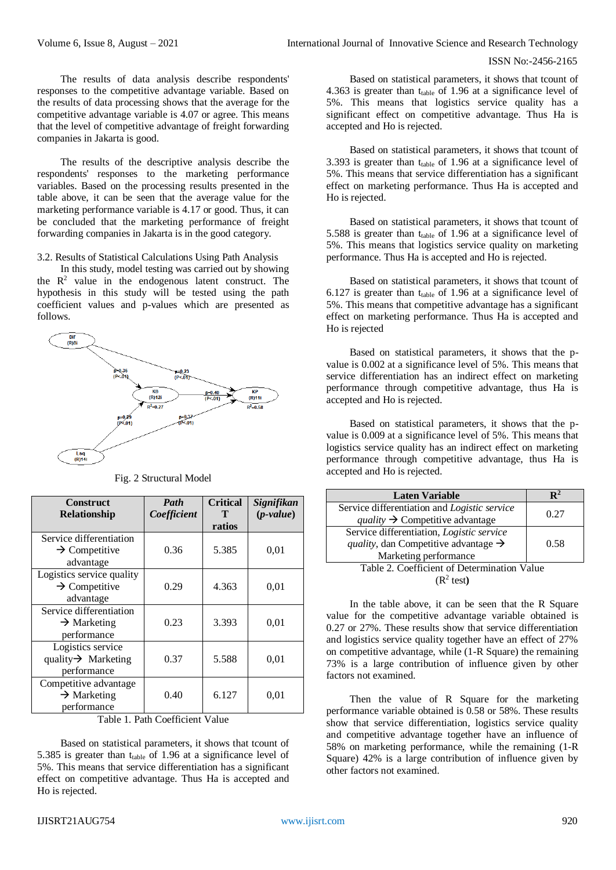The results of data analysis describe respondents' responses to the competitive advantage variable. Based on the results of data processing shows that the average for the competitive advantage variable is 4.07 or agree. This means that the level of competitive advantage of freight forwarding companies in Jakarta is good.

The results of the descriptive analysis describe the respondents' responses to the marketing performance variables. Based on the processing results presented in the table above, it can be seen that the average value for the marketing performance variable is 4.17 or good. Thus, it can be concluded that the marketing performance of freight forwarding companies in Jakarta is in the good category.

3.2. Results of Statistical Calculations Using Path Analysis

In this study, model testing was carried out by showing the  $R<sup>2</sup>$  value in the endogenous latent construct. The hypothesis in this study will be tested using the path coefficient values and p-values which are presented as follows.



Fig. 2 Structural Model

| <b>Construct</b><br><b>Relationship</b>                             | Path<br>Coefficient | <b>Critical</b><br>т<br>ratios | Signifikan<br>$(p-value)$ |
|---------------------------------------------------------------------|---------------------|--------------------------------|---------------------------|
| Service differentiation<br>$\rightarrow$ Competitive<br>advantage   | 0.36                | 5.385                          | 0,01                      |
| Logistics service quality<br>$\rightarrow$ Competitive<br>advantage | 0.29                | 4.363                          | 0,01                      |
| Service differentiation<br>$\rightarrow$ Marketing<br>performance   | 0.23                | 3.393                          | 0,01                      |
| Logistics service<br>quality $\rightarrow$ Marketing<br>performance | 0.37                | 5.588                          | 0,01                      |
| Competitive advantage<br>$\rightarrow$ Marketing<br>performance     | 0.40                | 6.127                          | 0.01                      |

Table 1. Path Coefficient Value

Based on statistical parameters, it shows that tcount of 5.385 is greater than  $t_{table}$  of 1.96 at a significance level of 5%. This means that service differentiation has a significant effect on competitive advantage. Thus Ha is accepted and Ho is rejected.

Based on statistical parameters, it shows that tcount of 4.363 is greater than  $t_{table}$  of 1.96 at a significance level of 5%. This means that logistics service quality has a significant effect on competitive advantage. Thus Ha is accepted and Ho is rejected.

Based on statistical parameters, it shows that tcount of 3.393 is greater than  $t_{table}$  of 1.96 at a significance level of 5%. This means that service differentiation has a significant effect on marketing performance. Thus Ha is accepted and Ho is rejected.

Based on statistical parameters, it shows that tcount of 5.588 is greater than ttable of 1.96 at a significance level of 5%. This means that logistics service quality on marketing performance. Thus Ha is accepted and Ho is rejected.

Based on statistical parameters, it shows that tcount of 6.127 is greater than  $t_{table}$  of 1.96 at a significance level of 5%. This means that competitive advantage has a significant effect on marketing performance. Thus Ha is accepted and Ho is rejected

Based on statistical parameters, it shows that the pvalue is 0.002 at a significance level of 5%. This means that service differentiation has an indirect effect on marketing performance through competitive advantage, thus Ha is accepted and Ho is rejected.

Based on statistical parameters, it shows that the pvalue is 0.009 at a significance level of 5%. This means that logistics service quality has an indirect effect on marketing performance through competitive advantage, thus Ha is accepted and Ho is rejected.

| <b>Laten Variable</b>                                                                                                          | R∸   |  |
|--------------------------------------------------------------------------------------------------------------------------------|------|--|
| Service differentiation and Logistic service<br>quality $\rightarrow$ Competitive advantage                                    | 0.27 |  |
| Service differentiation, Logistic service<br><i>quality</i> , dan Competitive advantage $\rightarrow$<br>Marketing performance | 0.58 |  |
| Table 2. Coefficient of Determination Value                                                                                    |      |  |
| $(R^2 \text{ test})$                                                                                                           |      |  |

In the table above, it can be seen that the R Square value for the competitive advantage variable obtained is 0.27 or 27%. These results show that service differentiation and logistics service quality together have an effect of 27% on competitive advantage, while (1-R Square) the remaining 73% is a large contribution of influence given by other factors not examined.

Then the value of R Square for the marketing performance variable obtained is 0.58 or 58%. These results show that service differentiation, logistics service quality and competitive advantage together have an influence of 58% on marketing performance, while the remaining (1-R Square) 42% is a large contribution of influence given by other factors not examined.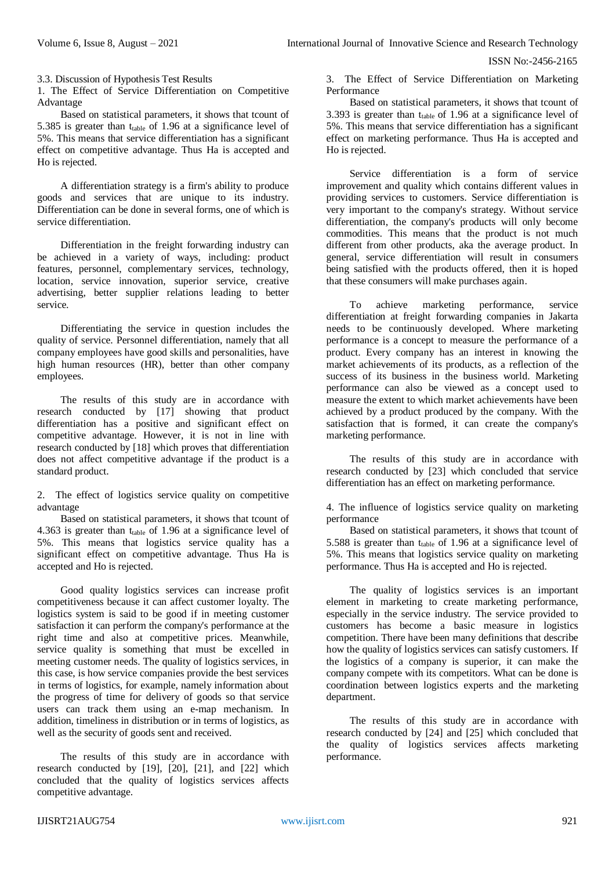3.3. Discussion of Hypothesis Test Results

1. The Effect of Service Differentiation on Competitive Advantage

Based on statistical parameters, it shows that tcount of 5.385 is greater than ttable of 1.96 at a significance level of 5%. This means that service differentiation has a significant effect on competitive advantage. Thus Ha is accepted and Ho is rejected.

A differentiation strategy is a firm's ability to produce goods and services that are unique to its industry. Differentiation can be done in several forms, one of which is service differentiation.

Differentiation in the freight forwarding industry can be achieved in a variety of ways, including: product features, personnel, complementary services, technology, location, service innovation, superior service, creative advertising, better supplier relations leading to better service.

Differentiating the service in question includes the quality of service. Personnel differentiation, namely that all company employees have good skills and personalities, have high human resources (HR), better than other company employees.

The results of this study are in accordance with research conducted by [17] showing that product differentiation has a positive and significant effect on competitive advantage. However, it is not in line with research conducted by [18] which proves that differentiation does not affect competitive advantage if the product is a standard product.

2. The effect of logistics service quality on competitive advantage

Based on statistical parameters, it shows that tcount of 4.363 is greater than  $t_{table}$  of 1.96 at a significance level of 5%. This means that logistics service quality has a significant effect on competitive advantage. Thus Ha is accepted and Ho is rejected.

Good quality logistics services can increase profit competitiveness because it can affect customer loyalty. The logistics system is said to be good if in meeting customer satisfaction it can perform the company's performance at the right time and also at competitive prices. Meanwhile, service quality is something that must be excelled in meeting customer needs. The quality of logistics services, in this case, is how service companies provide the best services in terms of logistics, for example, namely information about the progress of time for delivery of goods so that service users can track them using an e-map mechanism. In addition, timeliness in distribution or in terms of logistics, as well as the security of goods sent and received.

The results of this study are in accordance with research conducted by [19], [20], [21], and [22] which concluded that the quality of logistics services affects competitive advantage.

3. The Effect of Service Differentiation on Marketing Performance

Based on statistical parameters, it shows that tcount of 3.393 is greater than  $t_{table}$  of 1.96 at a significance level of 5%. This means that service differentiation has a significant effect on marketing performance. Thus Ha is accepted and Ho is rejected.

Service differentiation is a form of service improvement and quality which contains different values in providing services to customers. Service differentiation is very important to the company's strategy. Without service differentiation, the company's products will only become commodities. This means that the product is not much different from other products, aka the average product. In general, service differentiation will result in consumers being satisfied with the products offered, then it is hoped that these consumers will make purchases again.

To achieve marketing performance, service differentiation at freight forwarding companies in Jakarta needs to be continuously developed. Where marketing performance is a concept to measure the performance of a product. Every company has an interest in knowing the market achievements of its products, as a reflection of the success of its business in the business world. Marketing performance can also be viewed as a concept used to measure the extent to which market achievements have been achieved by a product produced by the company. With the satisfaction that is formed, it can create the company's marketing performance.

The results of this study are in accordance with research conducted by [23] which concluded that service differentiation has an effect on marketing performance.

4. The influence of logistics service quality on marketing performance

Based on statistical parameters, it shows that tcount of 5.588 is greater than ttable of 1.96 at a significance level of 5%. This means that logistics service quality on marketing performance. Thus Ha is accepted and Ho is rejected.

The quality of logistics services is an important element in marketing to create marketing performance, especially in the service industry. The service provided to customers has become a basic measure in logistics competition. There have been many definitions that describe how the quality of logistics services can satisfy customers. If the logistics of a company is superior, it can make the company compete with its competitors. What can be done is coordination between logistics experts and the marketing department.

The results of this study are in accordance with research conducted by [24] and [25] which concluded that the quality of logistics services affects marketing performance.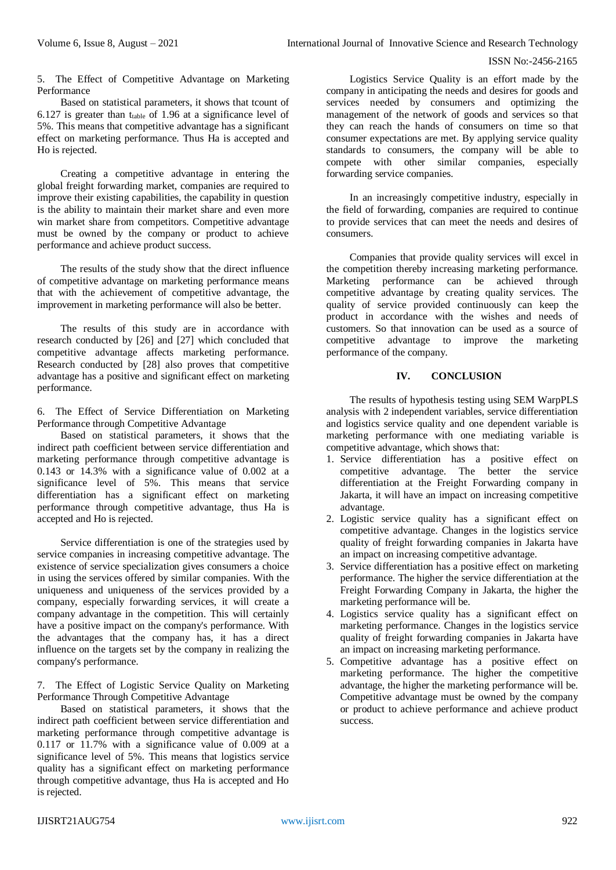5. The Effect of Competitive Advantage on Marketing Performance

Based on statistical parameters, it shows that tcount of 6.127 is greater than  $t_{table}$  of 1.96 at a significance level of 5%. This means that competitive advantage has a significant effect on marketing performance. Thus Ha is accepted and Ho is rejected.

Creating a competitive advantage in entering the global freight forwarding market, companies are required to improve their existing capabilities, the capability in question is the ability to maintain their market share and even more win market share from competitors. Competitive advantage must be owned by the company or product to achieve performance and achieve product success.

The results of the study show that the direct influence of competitive advantage on marketing performance means that with the achievement of competitive advantage, the improvement in marketing performance will also be better.

The results of this study are in accordance with research conducted by [26] and [27] which concluded that competitive advantage affects marketing performance. Research conducted by [28] also proves that competitive advantage has a positive and significant effect on marketing performance.

6. The Effect of Service Differentiation on Marketing Performance through Competitive Advantage

Based on statistical parameters, it shows that the indirect path coefficient between service differentiation and marketing performance through competitive advantage is 0.143 or 14.3% with a significance value of 0.002 at a significance level of 5%. This means that service differentiation has a significant effect on marketing performance through competitive advantage, thus Ha is accepted and Ho is rejected.

Service differentiation is one of the strategies used by service companies in increasing competitive advantage. The existence of service specialization gives consumers a choice in using the services offered by similar companies. With the uniqueness and uniqueness of the services provided by a company, especially forwarding services, it will create a company advantage in the competition. This will certainly have a positive impact on the company's performance. With the advantages that the company has, it has a direct influence on the targets set by the company in realizing the company's performance.

7. The Effect of Logistic Service Quality on Marketing Performance Through Competitive Advantage

Based on statistical parameters, it shows that the indirect path coefficient between service differentiation and marketing performance through competitive advantage is 0.117 or 11.7% with a significance value of 0.009 at a significance level of 5%. This means that logistics service quality has a significant effect on marketing performance through competitive advantage, thus Ha is accepted and Ho is rejected.

Logistics Service Quality is an effort made by the company in anticipating the needs and desires for goods and services needed by consumers and optimizing the management of the network of goods and services so that they can reach the hands of consumers on time so that consumer expectations are met. By applying service quality standards to consumers, the company will be able to compete with other similar companies, especially forwarding service companies.

In an increasingly competitive industry, especially in the field of forwarding, companies are required to continue to provide services that can meet the needs and desires of consumers.

Companies that provide quality services will excel in the competition thereby increasing marketing performance. Marketing performance can be achieved through competitive advantage by creating quality services. The quality of service provided continuously can keep the product in accordance with the wishes and needs of customers. So that innovation can be used as a source of competitive advantage to improve the marketing performance of the company.

### **IV. CONCLUSION**

The results of hypothesis testing using SEM WarpPLS analysis with 2 independent variables, service differentiation and logistics service quality and one dependent variable is marketing performance with one mediating variable is competitive advantage, which shows that:

- 1. Service differentiation has a positive effect on competitive advantage. The better the service differentiation at the Freight Forwarding company in Jakarta, it will have an impact on increasing competitive advantage.
- 2. Logistic service quality has a significant effect on competitive advantage. Changes in the logistics service quality of freight forwarding companies in Jakarta have an impact on increasing competitive advantage.
- 3. Service differentiation has a positive effect on marketing performance. The higher the service differentiation at the Freight Forwarding Company in Jakarta, the higher the marketing performance will be.
- 4. Logistics service quality has a significant effect on marketing performance. Changes in the logistics service quality of freight forwarding companies in Jakarta have an impact on increasing marketing performance.
- 5. Competitive advantage has a positive effect on marketing performance. The higher the competitive advantage, the higher the marketing performance will be. Competitive advantage must be owned by the company or product to achieve performance and achieve product success.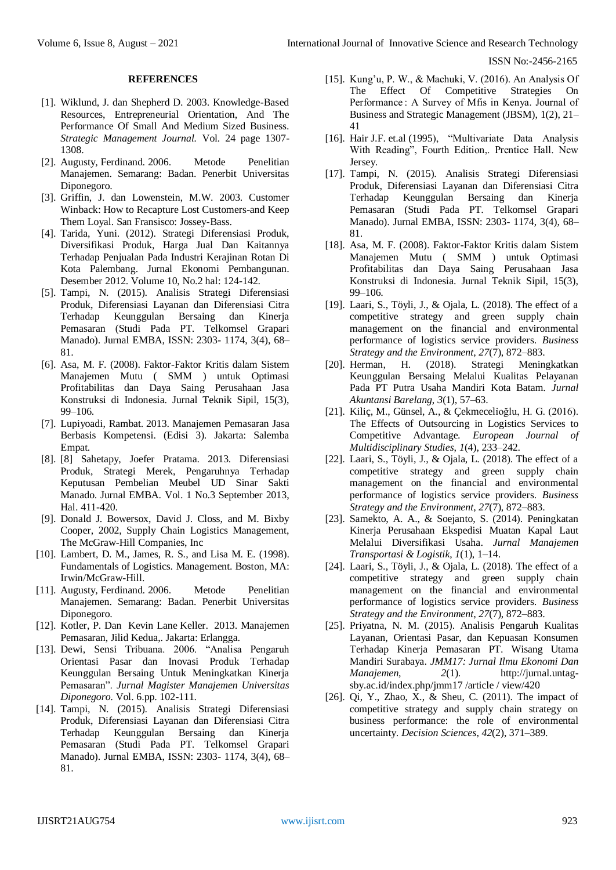#### **REFERENCES**

- [1]. Wiklund, J. dan Shepherd D. 2003. Knowledge-Based Resources, Entrepreneurial Orientation, And The Performance Of Small And Medium Sized Business. *Strategic Management Journal.* Vol. 24 page 1307- 1308.
- [2]. Augusty*,* Ferdinand*.* 2006. Metode Penelitian Manajemen. Semarang: Badan. Penerbit Universitas Diponegoro.
- [3]. Griffin, J. dan Lowenstein, M.W. 2003. Customer Winback: How to Recapture Lost Customers-and Keep Them Loyal. San Fransisco: Jossey-Bass.
- [4]. Tarida, Yuni. (2012). Strategi Diferensiasi Produk, Diversifikasi Produk, Harga Jual Dan Kaitannya Terhadap Penjualan Pada Industri Kerajinan Rotan Di Kota Palembang. Jurnal Ekonomi Pembangunan. Desember 2012. Volume 10, No.2 hal: 124-142.
- [5]. Tampi, N. (2015). Analisis Strategi Diferensiasi Produk, Diferensiasi Layanan dan Diferensiasi Citra Terhadap Keunggulan Bersaing dan Kinerja Pemasaran (Studi Pada PT. Telkomsel Grapari Manado). Jurnal EMBA, ISSN: 2303- 1174, 3(4), 68– 81.
- [6]. Asa, M. F. (2008). Faktor-Faktor Kritis dalam Sistem Manajemen Mutu ( SMM ) untuk Optimasi Profitabilitas dan Daya Saing Perusahaan Jasa Konstruksi di Indonesia. Jurnal Teknik Sipil, 15(3), 99–106.
- [7]. Lupiyoadi, Rambat. 2013. Manajemen Pemasaran Jasa Berbasis Kompetensi. (Edisi 3). Jakarta: Salemba Empat.
- [8]. [8] Sahetapy, Joefer Pratama. 2013. Diferensiasi Produk, Strategi Merek, Pengaruhnya Terhadap Keputusan Pembelian Meubel UD Sinar Sakti Manado. Jurnal EMBA. Vol. 1 No.3 September 2013, Hal. 411-420.
- [9]. Donald J. Bowersox, David J. Closs, and M. Bixby Cooper, 2002, Supply Chain Logistics Management, The McGraw-Hill Companies, Inc
- [10]. Lambert, D. M., James, R. S., and Lisa M. E. (1998). Fundamentals of Logistics. Management. Boston, MA: Irwin/McGraw-Hill.
- [11]. Augusty*,* Ferdinand*.* 2006. Metode Penelitian Manajemen. Semarang: Badan. Penerbit Universitas Diponegoro.
- [12]. Kotler, P. Dan Kevin Lane Keller. 2013. Manajemen Pemasaran, Jilid Kedua,. Jakarta: Erlangga.
- [13]. Dewi, Sensi Tribuana. 2006. "Analisa Pengaruh Orientasi Pasar dan Inovasi Produk Terhadap Keunggulan Bersaing Untuk Meningkatkan Kinerja Pemasaran". *Jurnal Magister Manajemen Universitas Diponegoro.* Vol. 6.pp. 102-111.
- [14]. Tampi, N. (2015). Analisis Strategi Diferensiasi Produk, Diferensiasi Layanan dan Diferensiasi Citra Terhadap Keunggulan Bersaing dan Kinerja Pemasaran (Studi Pada PT. Telkomsel Grapari Manado). Jurnal EMBA, ISSN: 2303- 1174, 3(4), 68– 81.
- [15]. Kung'u, P. W., & Machuki, V. (2016). An Analysis Of The Effect Of Competitive Strategies On Performance : A Survey of Mfis in Kenya. Journal of Business and Strategic Management (JBSM), 1(2), 21– 41
- [16]. Hair J.F. et.al (1995), "Multivariate Data Analysis With Reading", Fourth Edition,. Prentice Hall. New Jersey.
- [17]. Tampi, N. (2015). Analisis Strategi Diferensiasi Produk, Diferensiasi Layanan dan Diferensiasi Citra Terhadap Keunggulan Bersaing dan Kinerja Pemasaran (Studi Pada PT. Telkomsel Grapari Manado). Jurnal EMBA, ISSN: 2303- 1174, 3(4), 68– 81.
- [18]. Asa, M. F. (2008). Faktor-Faktor Kritis dalam Sistem Manajemen Mutu ( SMM ) untuk Optimasi Profitabilitas dan Daya Saing Perusahaan Jasa Konstruksi di Indonesia. Jurnal Teknik Sipil, 15(3), 99–106.
- [19]. Laari, S., Töyli, J., & Ojala, L. (2018). The effect of a competitive strategy and green supply chain management on the financial and environmental performance of logistics service providers. *Business Strategy and the Environment*, *27*(7), 872–883.
- [20]. Herman, H. (2018). Strategi Meningkatkan Keunggulan Bersaing Melalui Kualitas Pelayanan Pada PT Putra Usaha Mandiri Kota Batam. *Jurnal Akuntansi Barelang*, *3*(1), 57–63.
- [21]. Kiliç, M., Günsel, A., & Çekmeceli̇oğlu, H. G. (2016). The Effects of Outsourcing in Logistics Services to Competitive Advantage. *European Journal of Multidisciplinary Studies*, *1*(4), 233–242.
- [22]. Laari, S., Töyli, J., & Ojala, L. (2018). The effect of a competitive strategy and green supply chain management on the financial and environmental performance of logistics service providers. *Business Strategy and the Environment*, *27*(7), 872–883.
- [23]. Samekto, A. A., & Soejanto, S. (2014). Peningkatan Kinerja Perusahaan Ekspedisi Muatan Kapal Laut Melalui Diversifikasi Usaha. *Jurnal Manajemen Transportasi & Logistik*, *1*(1), 1–14.
- [24]. Laari, S., Töyli, J., & Ojala, L. (2018). The effect of a competitive strategy and green supply chain management on the financial and environmental performance of logistics service providers. *Business Strategy and the Environment*, *27*(7), 872–883.
- [25]. Priyatna, N. M. (2015). Analisis Pengaruh Kualitas Layanan, Orientasi Pasar, dan Kepuasan Konsumen Terhadap Kinerja Pemasaran PT. Wisang Utama Mandiri Surabaya. *JMM17: Jurnal Ilmu Ekonomi Dan Manajemen*, *2*(1). http://jurnal.untagsby.ac.id/index.php/jmm17 /article / view/420
- [26]. Qi, Y., Zhao, X., & Sheu, C. (2011). The impact of competitive strategy and supply chain strategy on business performance: the role of environmental uncertainty. *Decision Sciences*, *42*(2), 371–389.